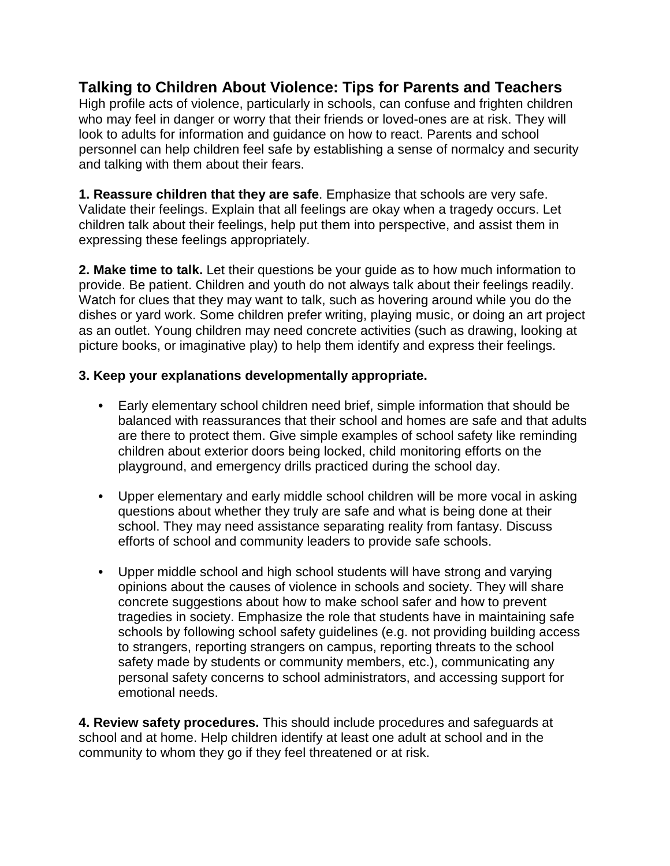## **Talking to Children About Violence: Tips for Parents and Teachers**

High profile acts of violence, particularly in schools, can confuse and frighten children who may feel in danger or worry that their friends or loved-ones are at risk. They will look to adults for information and guidance on how to react. Parents and school personnel can help children feel safe by establishing a sense of normalcy and security and talking with them about their fears.

**1. Reassure children that they are safe**. Emphasize that schools are very safe. Validate their feelings. Explain that all feelings are okay when a tragedy occurs. Let children talk about their feelings, help put them into perspective, and assist them in expressing these feelings appropriately.

**2. Make time to talk.** Let their questions be your guide as to how much information to provide. Be patient. Children and youth do not always talk about their feelings readily. Watch for clues that they may want to talk, such as hovering around while you do the dishes or yard work. Some children prefer writing, playing music, or doing an art project as an outlet. Young children may need concrete activities (such as drawing, looking at picture books, or imaginative play) to help them identify and express their feelings.

## **3. Keep your explanations developmentally appropriate.**

- **•** Early elementary school children need brief, simple information that should be balanced with reassurances that their school and homes are safe and that adults are there to protect them. Give simple examples of school safety like reminding children about exterior doors being locked, child monitoring efforts on the playground, and emergency drills practiced during the school day.
- **•** Upper elementary and early middle school children will be more vocal in asking questions about whether they truly are safe and what is being done at their school. They may need assistance separating reality from fantasy. Discuss efforts of school and community leaders to provide safe schools.
- **•** Upper middle school and high school students will have strong and varying opinions about the causes of violence in schools and society. They will share concrete suggestions about how to make school safer and how to prevent tragedies in society. Emphasize the role that students have in maintaining safe schools by following school safety guidelines (e.g. not providing building access to strangers, reporting strangers on campus, reporting threats to the school safety made by students or community members, etc.), communicating any personal safety concerns to school administrators, and accessing support for emotional needs.

**4. Review safety procedures.** This should include procedures and safeguards at school and at home. Help children identify at least one adult at school and in the community to whom they go if they feel threatened or at risk.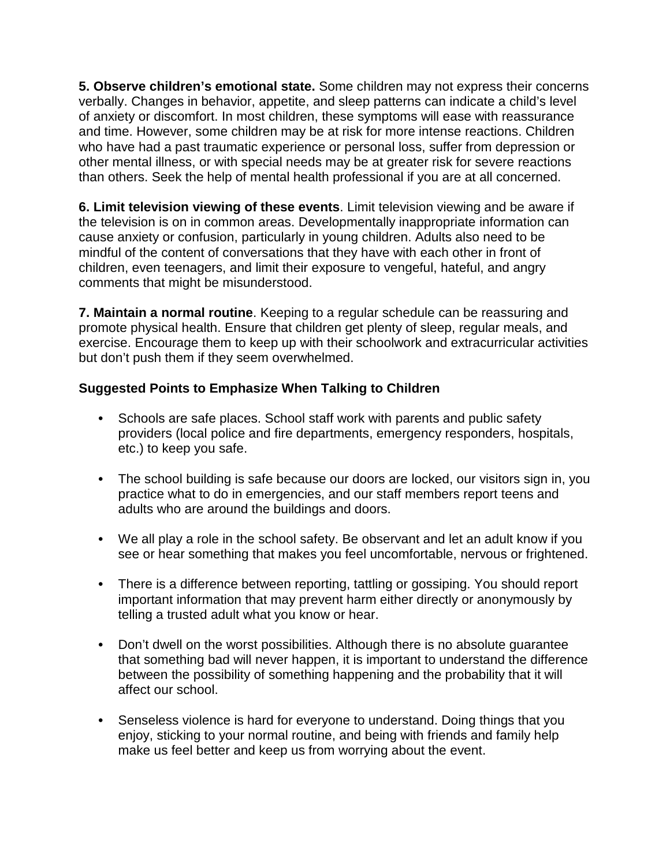**5. Observe children's emotional state.** Some children may not express their concerns verbally. Changes in behavior, appetite, and sleep patterns can indicate a child's level of anxiety or discomfort. In most children, these symptoms will ease with reassurance and time. However, some children may be at risk for more intense reactions. Children who have had a past traumatic experience or personal loss, suffer from depression or other mental illness, or with special needs may be at greater risk for severe reactions than others. Seek the help of mental health professional if you are at all concerned.

**6. Limit television viewing of these events**. Limit television viewing and be aware if the television is on in common areas. Developmentally inappropriate information can cause anxiety or confusion, particularly in young children. Adults also need to be mindful of the content of conversations that they have with each other in front of children, even teenagers, and limit their exposure to vengeful, hateful, and angry comments that might be misunderstood.

**7. Maintain a normal routine**. Keeping to a regular schedule can be reassuring and promote physical health. Ensure that children get plenty of sleep, regular meals, and exercise. Encourage them to keep up with their schoolwork and extracurricular activities but don't push them if they seem overwhelmed.

## **Suggested Points to Emphasize When Talking to Children**

- **•** Schools are safe places. School staff work with parents and public safety providers (local police and fire departments, emergency responders, hospitals, etc.) to keep you safe.
- **•** The school building is safe because our doors are locked, our visitors sign in, you practice what to do in emergencies, and our staff members report teens and adults who are around the buildings and doors.
- **•** We all play a role in the school safety. Be observant and let an adult know if you see or hear something that makes you feel uncomfortable, nervous or frightened.
- **•** There is a difference between reporting, tattling or gossiping. You should report important information that may prevent harm either directly or anonymously by telling a trusted adult what you know or hear.
- **•** Don't dwell on the worst possibilities. Although there is no absolute guarantee that something bad will never happen, it is important to understand the difference between the possibility of something happening and the probability that it will affect our school.
- **•** Senseless violence is hard for everyone to understand. Doing things that you enjoy, sticking to your normal routine, and being with friends and family help make us feel better and keep us from worrying about the event.